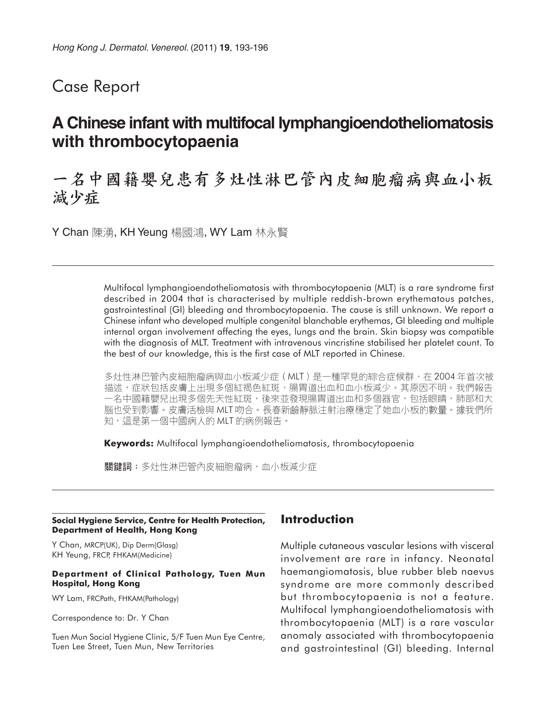## Case Report

## **A Chinese infant with multifocal lymphangioendotheliomatosis with thrombocytopaenia**

# 一名中國籍嬰兒患有多灶性淋巴管內皮細胞瘤病與血小板 減少症

Y Chan 陳湧, KH Yeung 楊國鴻, WY Lam 林永賢

Multifocal lymphangioendotheliomatosis with thrombocytopaenia (MLT) is a rare syndrome first described in 2004 that is characterised by multiple reddish-brown erythematous patches, gastrointestinal (GI) bleeding and thrombocytopaenia. The cause is still unknown. We report a Chinese infant who developed multiple congenital blanchable erythemas, GI bleeding and multiple internal organ involvement affecting the eyes, lungs and the brain. Skin biopsy was compatible with the diagnosis of MLT. Treatment with intravenous vincristine stabilised her platelet count. To the best of our knowledge, this is the first case of MLT reported in Chinese.

多灶性淋巴管内皮細胞瘤病與血小板減少症 ( MLT ) 是一種罕見的綜合症候群,在 2004 年首次被 描述,症狀包括皮膚上出現多個紅褐色紅斑,腸胃道出血和血小板減少。其原因不明。我們報告 一名中國籍嬰兒出現多個先天性紅斑,後來並發現腸胃道出血和多個器官,包括眼睛,肺部和大 腦也受到影響。皮膚活檢與 MLT 吻合。長春新鹼靜脈注射治療穩定了她血小板的數量。據我們所 知,這是第一個中國病人的 MLT 的病例報告。

**Keywords:** Multifocal lymphangioendotheliomatosis, thrombocytopaenia

關鍵詞:多灶性淋巴管內皮細胞瘤病,血小板減少症

#### **Social Hygiene Service, Centre for Health Protection, Department of Health, Hong Kong**

Y Chan, MRCP(UK), Dip Derm(Glasg) KH Yeung, FRCP, FHKAM(Medicine)

#### **Department of Clinical Pathology, Tuen Mun Hospital, Hong Kong**

WY Lam, FRCPath, FHKAM(Pathology)

Correspondence to: Dr. Y Chan

Tuen Mun Social Hygiene Clinic, 5/F Tuen Mun Eye Centre, Tuen Lee Street, Tuen Mun, New Territories

## **Introduction**

Multiple cutaneous vascular lesions with visceral involvement are rare in infancy. Neonatal haemangiomatosis, blue rubber bleb naevus syndrome are more commonly described but thrombocytopaenia is not a feature. Multifocal lymphangioendotheliomatosis with thrombocytopaenia (MLT) is a rare vascular anomaly associated with thrombocytopaenia and gastrointestinal (GI) bleeding. Internal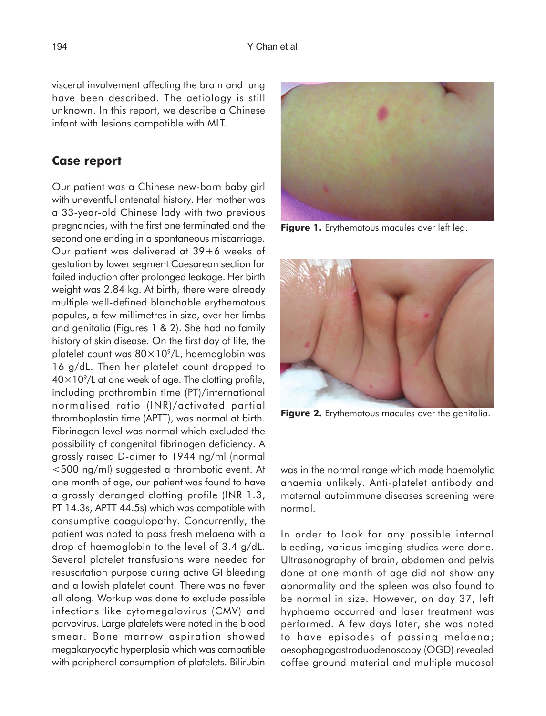visceral involvement affecting the brain and lung have been described. The aetiology is still unknown. In this report, we describe a Chinese infant with lesions compatible with MLT.

### **Case report**

Our patient was a Chinese new-born baby girl with uneventful antenatal history. Her mother was a 33-year-old Chinese lady with two previous pregnancies, with the first one terminated and the second one ending in a spontaneous miscarriage. Our patient was delivered at 39+6 weeks of gestation by lower segment Caesarean section for failed induction after prolonged leakage. Her birth weight was 2.84 kg. At birth, there were already multiple well-defined blanchable erythematous papules, a few millimetres in size, over her limbs and genitalia (Figures 1 & 2). She had no family history of skin disease. On the first day of life, the platelet count was  $80\times10^9$ /L, haemoglobin was 16 g/dL. Then her platelet count dropped to  $40\times10^{9}$ /L at one week of age. The clotting profile, including prothrombin time (PT)/international normalised ratio (INR)/activated partial thromboplastin time (APTT), was normal at birth. Fibrinogen level was normal which excluded the possibility of congenital fibrinogen deficiency. A grossly raised D-dimer to 1944 ng/ml (normal <500 ng/ml) suggested a thrombotic event. At one month of age, our patient was found to have a grossly deranged clotting profile (INR 1.3, PT 14.3s, APTT 44.5s) which was compatible with consumptive coagulopathy. Concurrently, the patient was noted to pass fresh melaena with a drop of haemoglobin to the level of 3.4 g/dL. Several platelet transfusions were needed for resuscitation purpose during active GI bleeding and a lowish platelet count. There was no fever all along. Workup was done to exclude possible infections like cytomegalovirus (CMV) and parvovirus. Large platelets were noted in the blood smear. Bone marrow aspiration showed megakaryocytic hyperplasia which was compatible with peripheral consumption of platelets. Bilirubin



**Figure 1.** Erythematous macules over left leg.



Figure 2. Erythematous macules over the genitalia.

was in the normal range which made haemolytic anaemia unlikely. Anti-platelet antibody and maternal autoimmune diseases screening were normal.

In order to look for any possible internal bleeding, various imaging studies were done. Ultrasonography of brain, abdomen and pelvis done at one month of age did not show any abnormality and the spleen was also found to be normal in size. However, on day 37, left hyphaema occurred and laser treatment was performed. A few days later, she was noted to have episodes of passing melaena; oesophagogastroduodenoscopy (OGD) revealed coffee ground material and multiple mucosal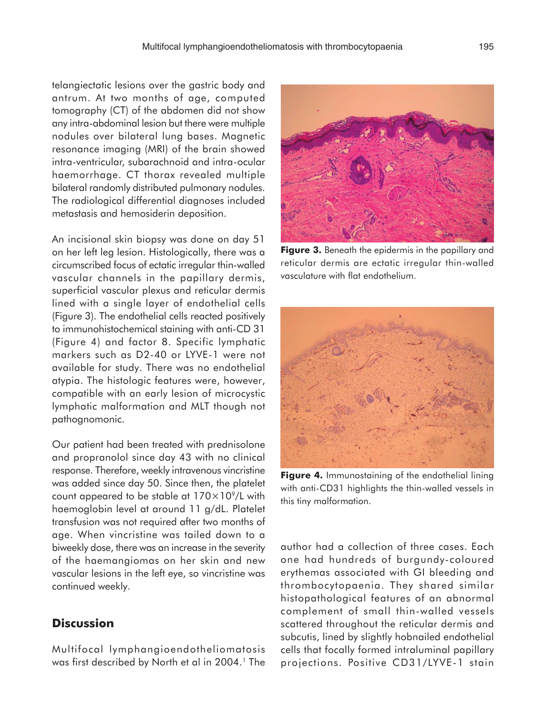telangiectatic lesions over the gastric body and antrum. At two months of age, computed tomography (CT) of the abdomen did not show any intra-abdominal lesion but there were multiple nodules over bilateral lung bases. Magnetic resonance imaging (MRI) of the brain showed intra-ventricular, subarachnoid and intra-ocular haemorrhage. CT thorax revealed multiple bilateral randomly distributed pulmonary nodules. The radiological differential diagnoses included metastasis and hemosiderin deposition.

An incisional skin biopsy was done on day 51 on her left leg lesion. Histologically, there was a circumscribed focus of ectatic irregular thin-walled vascular channels in the papillary dermis, superficial vascular plexus and reticular dermis lined with a single layer of endothelial cells (Figure 3). The endothelial cells reacted positively to immunohistochemical staining with anti-CD 31 (Figure 4) and factor 8. Specific lymphatic markers such as D2-40 or LYVE-1 were not available for study. There was no endothelial atypia. The histologic features were, however, compatible with an early lesion of microcystic lymphatic malformation and MLT though not pathognomonic.

Our patient had been treated with prednisolone and propranolol since day 43 with no clinical response. Therefore, weekly intravenous vincristine was added since day 50. Since then, the platelet count appeared to be stable at  $170\times10^9$ /L with haemoglobin level at around 11 g/dL. Platelet transfusion was not required after two months of age. When vincristine was tailed down to a biweekly dose, there was an increase in the severity of the haemangiomas on her skin and new vascular lesions in the left eye, so vincristine was continued weekly.

## **Discussion**

Multifocal lymphangioendotheliomatosis was first described by North et al in 2004.<sup>1</sup> The

**Figure 3.** Beneath the epidermis in the papillary and reticular dermis are ectatic irregular thin-walled vasculature with flat endothelium.



**Figure 4.** Immunostaining of the endothelial lining with anti-CD31 highlights the thin-walled vessels in this tiny malformation.

author had a collection of three cases. Each one had hundreds of burgundy-coloured erythemas associated with GI bleeding and thrombocytopaenia. They shared similar histopathological features of an abnormal complement of small thin-walled vessels scattered throughout the reticular dermis and subcutis, lined by slightly hobnailed endothelial cells that focally formed intraluminal papillary projections. Positive CD31/LYVE-1 stain